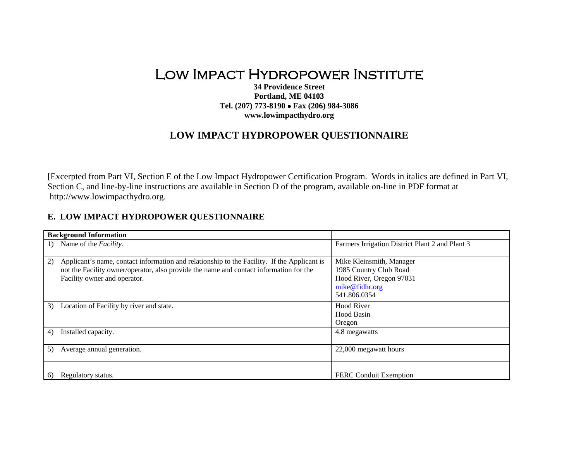## Low Impact Hydropower Institute

**34 Providence Street Portland, ME 04103 Tel. (207) 773-8190** • **Fax (206) 984-3086 www.lowimpacthydro.org** 

## **LOW IMPACT HYDROPOWER QUESTIONNAIRE**

[Excerpted from Part VI, Section E of the Low Impact Hydropower Certification Program. Words in italics are defined in Part VI, Section C, and line-by-line instructions are available in Section D of the program, available on-line in PDF format at http://www.lowimpacthydro.org.

## **E. LOW IMPACT HYDROPOWER QUESTIONNAIRE**

| <b>Background Information</b>                                                                     |                                                 |
|---------------------------------------------------------------------------------------------------|-------------------------------------------------|
| Name of the <i>Facility</i> .                                                                     | Farmers Irrigation District Plant 2 and Plant 3 |
|                                                                                                   |                                                 |
| Applicant's name, contact information and relationship to the Facility. If the Applicant is<br>2) | Mike Kleinsmith, Manager                        |
| not the Facility owner/operator, also provide the name and contact information for the            | 1985 Country Club Road                          |
| Facility owner and operator.                                                                      | Hood River, Oregon 97031                        |
|                                                                                                   | mike@fidhr.org                                  |
|                                                                                                   | 541.806.0354                                    |
| Location of Facility by river and state.<br>3)                                                    | <b>Hood River</b>                               |
|                                                                                                   | Hood Basin                                      |
|                                                                                                   | Oregon                                          |
| Installed capacity.<br>4)                                                                         | 4.8 megawatts                                   |
|                                                                                                   |                                                 |
| 5)<br>Average annual generation.                                                                  | 22,000 megawatt hours                           |
|                                                                                                   |                                                 |
|                                                                                                   |                                                 |
| Regulatory status.<br>6)                                                                          | FERC Conduit Exemption                          |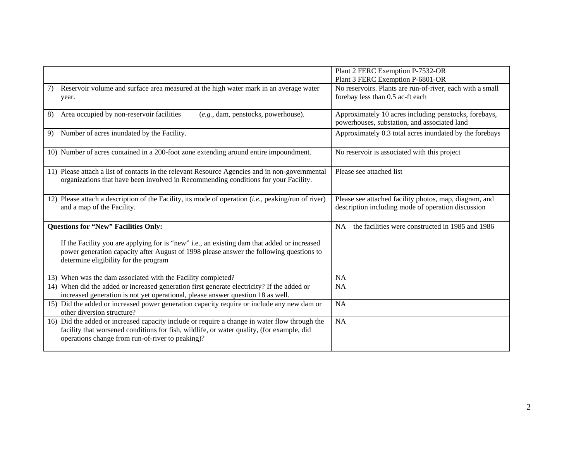|                                                                                                                                                                                                                                                | Plant 2 FERC Exemption P-7532-OR                                                                                                  |
|------------------------------------------------------------------------------------------------------------------------------------------------------------------------------------------------------------------------------------------------|-----------------------------------------------------------------------------------------------------------------------------------|
| Reservoir volume and surface area measured at the high water mark in an average water<br>7)<br>year.                                                                                                                                           | Plant 3 FERC Exemption P-6801-OR<br>No reservoirs. Plants are run-of-river, each with a small<br>forebay less than 0.5 ac-ft each |
| Area occupied by non-reservoir facilities<br>(e.g., dam, penstocks, powerhouse).<br>8)                                                                                                                                                         | Approximately 10 acres including penstocks, forebays,<br>powerhouses, substation, and associated land                             |
| Number of acres inundated by the Facility.<br>9)                                                                                                                                                                                               | Approximately 0.3 total acres inundated by the forebays                                                                           |
| 10) Number of acres contained in a 200-foot zone extending around entire impoundment.                                                                                                                                                          | No reservoir is associated with this project                                                                                      |
| 11) Please attach a list of contacts in the relevant Resource Agencies and in non-governmental<br>organizations that have been involved in Recommending conditions for your Facility.                                                          | Please see attached list                                                                                                          |
| 12) Please attach a description of the Facility, its mode of operation $(i.e., p_0)$ peaking/run of river)<br>and a map of the Facility.                                                                                                       | Please see attached facility photos, map, diagram, and<br>description including mode of operation discussion                      |
| <b>Questions for "New" Facilities Only:</b>                                                                                                                                                                                                    | NA – the facilities were constructed in 1985 and 1986                                                                             |
| If the Facility you are applying for is "new" i.e., an existing dam that added or increased<br>power generation capacity after August of 1998 please answer the following questions to<br>determine eligibility for the program                |                                                                                                                                   |
| 13) When was the dam associated with the Facility completed?                                                                                                                                                                                   | <b>NA</b>                                                                                                                         |
| 14) When did the added or increased generation first generate electricity? If the added or<br>increased generation is not yet operational, please answer question 18 as well.                                                                  | <b>NA</b>                                                                                                                         |
| 15) Did the added or increased power generation capacity require or include any new dam or<br>other diversion structure?                                                                                                                       | <b>NA</b>                                                                                                                         |
| 16) Did the added or increased capacity include or require a change in water flow through the<br>facility that worsened conditions for fish, wildlife, or water quality, (for example, did<br>operations change from run-of-river to peaking)? | <b>NA</b>                                                                                                                         |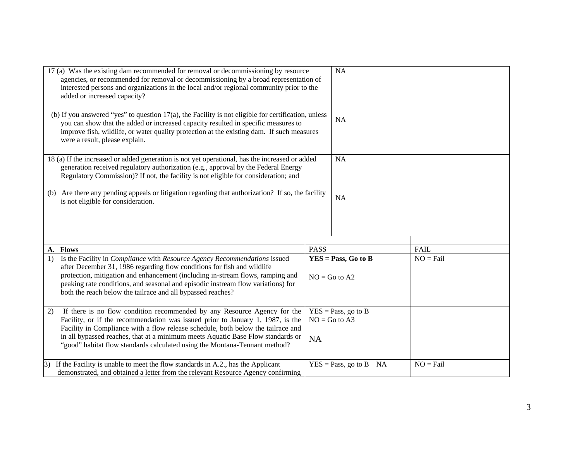|                                                                                                                                                                                                                                                                             | 17 (a) Was the existing dam recommended for removal or decommissioning by resource<br>agencies, or recommended for removal or decommissioning by a broad representation of<br>interested persons and organizations in the local and/or regional community prior to the<br>added or increased capacity?                   |             | NA                          |             |
|-----------------------------------------------------------------------------------------------------------------------------------------------------------------------------------------------------------------------------------------------------------------------------|--------------------------------------------------------------------------------------------------------------------------------------------------------------------------------------------------------------------------------------------------------------------------------------------------------------------------|-------------|-----------------------------|-------------|
|                                                                                                                                                                                                                                                                             | (b) If you answered "yes" to question 17(a), the Facility is not eligible for certification, unless<br>you can show that the added or increased capacity resulted in specific measures to<br>improve fish, wildlife, or water quality protection at the existing dam. If such measures<br>were a result, please explain. |             | <b>NA</b>                   |             |
| 18 (a) If the increased or added generation is not yet operational, has the increased or added<br>generation received regulatory authorization (e.g., approval by the Federal Energy<br>Regulatory Commission)? If not, the facility is not eligible for consideration; and |                                                                                                                                                                                                                                                                                                                          | NA          |                             |             |
| (b)                                                                                                                                                                                                                                                                         | Are there any pending appeals or litigation regarding that authorization? If so, the facility<br>is not eligible for consideration.                                                                                                                                                                                      |             | <b>NA</b>                   |             |
|                                                                                                                                                                                                                                                                             |                                                                                                                                                                                                                                                                                                                          |             |                             |             |
|                                                                                                                                                                                                                                                                             |                                                                                                                                                                                                                                                                                                                          |             |                             |             |
| A.                                                                                                                                                                                                                                                                          | <b>Flows</b>                                                                                                                                                                                                                                                                                                             | <b>PASS</b> |                             | <b>FAIL</b> |
| 1)                                                                                                                                                                                                                                                                          | Is the Facility in Compliance with Resource Agency Recommendations issued                                                                                                                                                                                                                                                |             | $YES = Pass, Go to B$       | $NO = Fail$ |
|                                                                                                                                                                                                                                                                             | after December 31, 1986 regarding flow conditions for fish and wildlife<br>protection, mitigation and enhancement (including in-stream flows, ramping and                                                                                                                                                                |             |                             |             |
|                                                                                                                                                                                                                                                                             | peaking rate conditions, and seasonal and episodic instream flow variations) for                                                                                                                                                                                                                                         |             | $NO = Go$ to $A2$           |             |
|                                                                                                                                                                                                                                                                             | both the reach below the tailrace and all bypassed reaches?                                                                                                                                                                                                                                                              |             |                             |             |
|                                                                                                                                                                                                                                                                             |                                                                                                                                                                                                                                                                                                                          |             |                             |             |
| 2)                                                                                                                                                                                                                                                                          | If there is no flow condition recommended by any Resource Agency for the                                                                                                                                                                                                                                                 |             | $YES = Pass$ , go to B      |             |
|                                                                                                                                                                                                                                                                             | Facility, or if the recommendation was issued prior to January 1, 1987, is the                                                                                                                                                                                                                                           |             | $NO = Go$ to A3             |             |
|                                                                                                                                                                                                                                                                             | Facility in Compliance with a flow release schedule, both below the tailrace and                                                                                                                                                                                                                                         |             |                             |             |
|                                                                                                                                                                                                                                                                             | in all bypassed reaches, that at a minimum meets Aquatic Base Flow standards or<br><b>NA</b>                                                                                                                                                                                                                             |             |                             |             |
|                                                                                                                                                                                                                                                                             | "good" habitat flow standards calculated using the Montana-Tennant method?                                                                                                                                                                                                                                               |             |                             |             |
|                                                                                                                                                                                                                                                                             | $\vert$ 3) If the Facility is unable to meet the flow standards in A.2., has the Applicant                                                                                                                                                                                                                               |             | $YES = Pass, go to B$<br>NA | $NO = Fail$ |
|                                                                                                                                                                                                                                                                             | demonstrated, and obtained a letter from the relevant Resource Agency confirming                                                                                                                                                                                                                                         |             |                             |             |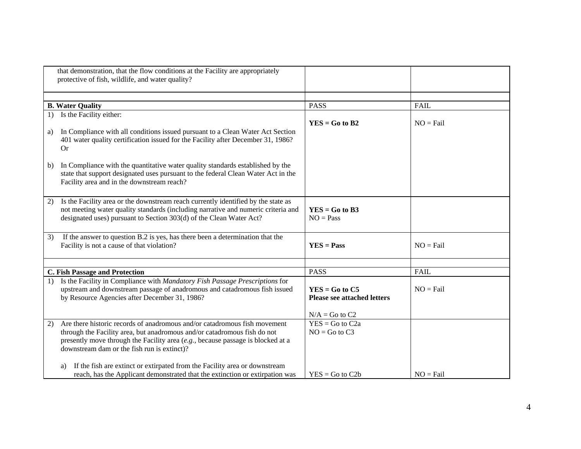|    | that demonstration, that the flow conditions at the Facility are appropriately<br>protective of fish, wildlife, and water quality?                                                                                                                                                        |                                                                            |             |
|----|-------------------------------------------------------------------------------------------------------------------------------------------------------------------------------------------------------------------------------------------------------------------------------------------|----------------------------------------------------------------------------|-------------|
|    |                                                                                                                                                                                                                                                                                           |                                                                            |             |
|    | <b>B. Water Quality</b>                                                                                                                                                                                                                                                                   | <b>PASS</b>                                                                | FAIL        |
| a) | 1) Is the Facility either:<br>In Compliance with all conditions issued pursuant to a Clean Water Act Section<br>401 water quality certification issued for the Facility after December 31, 1986?<br><b>Or</b>                                                                             | $YES = Go to B2$                                                           | $NO = Fail$ |
| b) | In Compliance with the quantitative water quality standards established by the<br>state that support designated uses pursuant to the federal Clean Water Act in the<br>Facility area and in the downstream reach?                                                                         |                                                                            |             |
| 2) | Is the Facility area or the downstream reach currently identified by the state as<br>not meeting water quality standards (including narrative and numeric criteria and<br>designated uses) pursuant to Section 303(d) of the Clean Water Act?                                             | $YES = Go to B3$<br>$NO = Pass$                                            |             |
| 3) | If the answer to question B.2 is yes, has there been a determination that the<br>Facility is not a cause of that violation?                                                                                                                                                               | $YES = Pass$                                                               | $NO = Fail$ |
|    | C. Fish Passage and Protection                                                                                                                                                                                                                                                            | <b>PASS</b>                                                                | <b>FAIL</b> |
| 1) | Is the Facility in Compliance with Mandatory Fish Passage Prescriptions for<br>upstream and downstream passage of anadromous and catadromous fish issued<br>by Resource Agencies after December 31, 1986?                                                                                 | $YES = Go to C5$<br><b>Please see attached letters</b><br>$N/A = Go$ to C2 | $NO = Fail$ |
| 2) | Are there historic records of anadromous and/or catadromous fish movement<br>through the Facility area, but anadromous and/or catadromous fish do not<br>presently move through the Facility area $(e.g., because passage is blocked at a$<br>downstream dam or the fish run is extinct)? | $YES = Go to C2a$<br>$NO = Go$ to $C3$                                     |             |
|    | If the fish are extinct or extirpated from the Facility area or downstream<br>a)<br>reach, has the Applicant demonstrated that the extinction or extirpation was                                                                                                                          | $YES = Go to C2b$                                                          | $NO = Fail$ |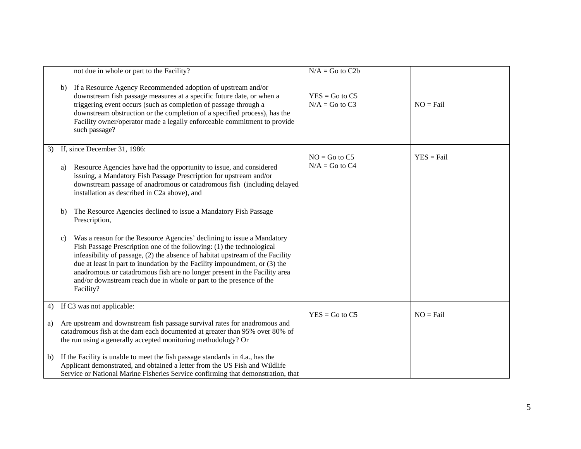|    |              | not due in whole or part to the Facility?                                                                                                                                                                                                                                                                                                                                                                                                                                       | $N/A = Go$ to $C2b$                   |              |
|----|--------------|---------------------------------------------------------------------------------------------------------------------------------------------------------------------------------------------------------------------------------------------------------------------------------------------------------------------------------------------------------------------------------------------------------------------------------------------------------------------------------|---------------------------------------|--------------|
|    | b)           | If a Resource Agency Recommended adoption of upstream and/or<br>downstream fish passage measures at a specific future date, or when a<br>triggering event occurs (such as completion of passage through a<br>downstream obstruction or the completion of a specified process), has the<br>Facility owner/operator made a legally enforceable commitment to provide<br>such passage?                                                                                             | $YES = Go to C5$<br>$N/A = Go$ to C3  | $NO = Fail$  |
| 3) |              | If, since December 31, 1986:                                                                                                                                                                                                                                                                                                                                                                                                                                                    |                                       |              |
|    | a)           | Resource Agencies have had the opportunity to issue, and considered<br>issuing, a Mandatory Fish Passage Prescription for upstream and/or<br>downstream passage of anadromous or catadromous fish (including delayed<br>installation as described in C2a above), and                                                                                                                                                                                                            | $NO = Go$ to $C5$<br>$N/A = Go$ to C4 | $YES = Fail$ |
|    | b)           | The Resource Agencies declined to issue a Mandatory Fish Passage<br>Prescription,                                                                                                                                                                                                                                                                                                                                                                                               |                                       |              |
|    | $\mathbf{c}$ | Was a reason for the Resource Agencies' declining to issue a Mandatory<br>Fish Passage Prescription one of the following: (1) the technological<br>infeasibility of passage, (2) the absence of habitat upstream of the Facility<br>due at least in part to inundation by the Facility impoundment, or (3) the<br>anadromous or catadromous fish are no longer present in the Facility area<br>and/or downstream reach due in whole or part to the presence of the<br>Facility? |                                       |              |
| 4) |              | If C3 was not applicable:                                                                                                                                                                                                                                                                                                                                                                                                                                                       |                                       |              |
| a) |              | Are upstream and downstream fish passage survival rates for anadromous and<br>catadromous fish at the dam each documented at greater than 95% over 80% of<br>the run using a generally accepted monitoring methodology? Or                                                                                                                                                                                                                                                      | $YES = Go$ to $C5$                    | $NO = Fail$  |
| b) |              | If the Facility is unable to meet the fish passage standards in 4.a., has the<br>Applicant demonstrated, and obtained a letter from the US Fish and Wildlife<br>Service or National Marine Fisheries Service confirming that demonstration, that                                                                                                                                                                                                                                |                                       |              |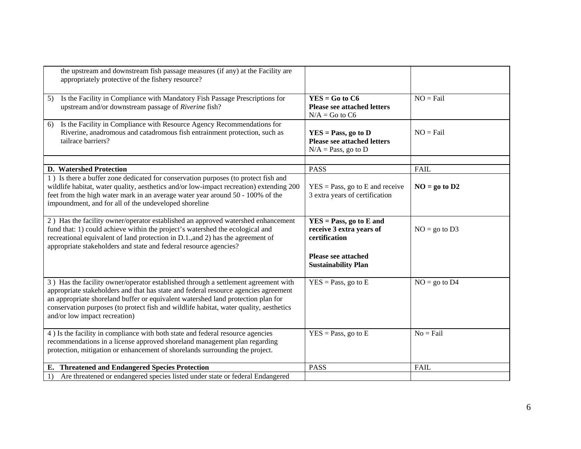| the upstream and downstream fish passage measures (if any) at the Facility are<br>appropriately protective of the fishery resource?                                                                                                                                                                                                                                                      |                                                                                                                                    |                 |
|------------------------------------------------------------------------------------------------------------------------------------------------------------------------------------------------------------------------------------------------------------------------------------------------------------------------------------------------------------------------------------------|------------------------------------------------------------------------------------------------------------------------------------|-----------------|
| Is the Facility in Compliance with Mandatory Fish Passage Prescriptions for<br>5)<br>upstream and/or downstream passage of Riverine fish?                                                                                                                                                                                                                                                | $YES = Go to C6$<br><b>Please see attached letters</b><br>$N/A = Go$ to C6                                                         | $NO = Fail$     |
| Is the Facility in Compliance with Resource Agency Recommendations for<br>6)<br>Riverine, anadromous and catadromous fish entrainment protection, such as<br>tailrace barriers?                                                                                                                                                                                                          | $YES = Pass, go to D$<br><b>Please see attached letters</b><br>$N/A = Pass$ , go to D                                              | $NO = Fail$     |
| <b>D.</b> Watershed Protection                                                                                                                                                                                                                                                                                                                                                           | <b>PASS</b>                                                                                                                        | <b>FAIL</b>     |
| 1) Is there a buffer zone dedicated for conservation purposes (to protect fish and<br>wildlife habitat, water quality, aesthetics and/or low-impact recreation) extending 200<br>feet from the high water mark in an average water year around 50 - 100% of the<br>impoundment, and for all of the undeveloped shoreline                                                                 | $YES = Pass$ , go to E and receive<br>3 extra years of certification                                                               | $NO = go to D2$ |
| 2) Has the facility owner/operator established an approved watershed enhancement<br>fund that: 1) could achieve within the project's watershed the ecological and<br>recreational equivalent of land protection in D.1., and 2) has the agreement of<br>appropriate stakeholders and state and federal resource agencies?                                                                | $YES = Pass, go to E and$<br>receive 3 extra years of<br>certification<br><b>Please see attached</b><br><b>Sustainability Plan</b> | $NO = go to D3$ |
| 3) Has the facility owner/operator established through a settlement agreement with<br>appropriate stakeholders and that has state and federal resource agencies agreement<br>an appropriate shoreland buffer or equivalent watershed land protection plan for<br>conservation purposes (to protect fish and wildlife habitat, water quality, aesthetics<br>and/or low impact recreation) | $YES = Pass$ , go to E                                                                                                             | $NO = go to D4$ |
| 4) Is the facility in compliance with both state and federal resource agencies<br>recommendations in a license approved shoreland management plan regarding<br>protection, mitigation or enhancement of shorelands surrounding the project.                                                                                                                                              | $YES = Pass$ , go to E                                                                                                             | $No = Fail$     |
| <b>Threatened and Endangered Species Protection</b><br>Е.                                                                                                                                                                                                                                                                                                                                | <b>PASS</b>                                                                                                                        | <b>FAIL</b>     |
| Are threatened or endangered species listed under state or federal Endangered<br>1)                                                                                                                                                                                                                                                                                                      |                                                                                                                                    |                 |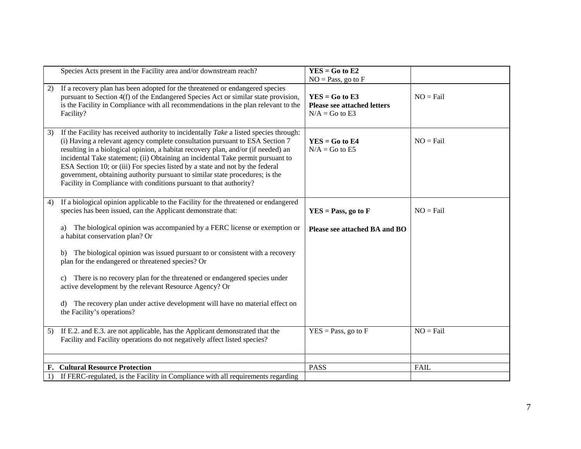|    | Species Acts present in the Facility area and/or downstream reach?                                                                                                                                                                                                                                                                                                                                                                                                                                                                                                                   | $YES = Go to E2$<br>$NO = Pass$ , go to $F$                                |             |
|----|--------------------------------------------------------------------------------------------------------------------------------------------------------------------------------------------------------------------------------------------------------------------------------------------------------------------------------------------------------------------------------------------------------------------------------------------------------------------------------------------------------------------------------------------------------------------------------------|----------------------------------------------------------------------------|-------------|
| 2) | If a recovery plan has been adopted for the threatened or endangered species<br>pursuant to Section 4(f) of the Endangered Species Act or similar state provision,<br>is the Facility in Compliance with all recommendations in the plan relevant to the<br>Facility?                                                                                                                                                                                                                                                                                                                | $YES = Go to E3$<br><b>Please see attached letters</b><br>$N/A = Go$ to E3 | $NO = Fail$ |
| 3) | If the Facility has received authority to incidentally Take a listed species through:<br>(i) Having a relevant agency complete consultation pursuant to ESA Section 7<br>resulting in a biological opinion, a habitat recovery plan, and/or (if needed) an<br>incidental Take statement; (ii) Obtaining an incidental Take permit pursuant to<br>ESA Section 10; or (iii) For species listed by a state and not by the federal<br>government, obtaining authority pursuant to similar state procedures; is the<br>Facility in Compliance with conditions pursuant to that authority? | $YES = Go to E4$<br>$N/A = Go$ to E5                                       | $NO = Fail$ |
| 4) | If a biological opinion applicable to the Facility for the threatened or endangered<br>species has been issued, can the Applicant demonstrate that:                                                                                                                                                                                                                                                                                                                                                                                                                                  | $YES = Pass, go to F$                                                      | $NO = Fail$ |
|    | The biological opinion was accompanied by a FERC license or exemption or<br>a)<br>a habitat conservation plan? Or                                                                                                                                                                                                                                                                                                                                                                                                                                                                    | Please see attached BA and BO                                              |             |
|    | The biological opinion was issued pursuant to or consistent with a recovery<br>b)<br>plan for the endangered or threatened species? Or                                                                                                                                                                                                                                                                                                                                                                                                                                               |                                                                            |             |
|    | There is no recovery plan for the threatened or endangered species under<br>$\mathbf{c}$<br>active development by the relevant Resource Agency? Or                                                                                                                                                                                                                                                                                                                                                                                                                                   |                                                                            |             |
|    | The recovery plan under active development will have no material effect on<br>d)<br>the Facility's operations?                                                                                                                                                                                                                                                                                                                                                                                                                                                                       |                                                                            |             |
| 5) | If E.2. and E.3. are not applicable, has the Applicant demonstrated that the<br>Facility and Facility operations do not negatively affect listed species?                                                                                                                                                                                                                                                                                                                                                                                                                            | $YES = Pass$ , go to $F$                                                   | $NO = Fail$ |
|    |                                                                                                                                                                                                                                                                                                                                                                                                                                                                                                                                                                                      |                                                                            |             |
|    | <b>F. Cultural Resource Protection</b>                                                                                                                                                                                                                                                                                                                                                                                                                                                                                                                                               | <b>PASS</b>                                                                | FAIL        |
| 1) | If FERC-regulated, is the Facility in Compliance with all requirements regarding                                                                                                                                                                                                                                                                                                                                                                                                                                                                                                     |                                                                            |             |